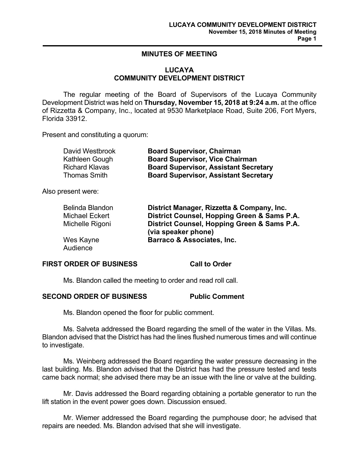### **MINUTES OF MEETING**

### **LUCAYA COMMUNITY DEVELOPMENT DISTRICT**

 The regular meeting of the Board of Supervisors of the Lucaya Community Development District was held on **Thursday, November 15, 2018 at 9:24 a.m.** at the office of Rizzetta & Company, Inc., located at 9530 Marketplace Road, Suite 206, Fort Myers, Florida 33912.

Present and constituting a quorum:

| David Westbrook       | <b>Board Supervisor, Chairman</b>            |
|-----------------------|----------------------------------------------|
| Kathleen Gough        | <b>Board Supervisor, Vice Chairman</b>       |
| <b>Richard Klavas</b> | <b>Board Supervisor, Assistant Secretary</b> |
| <b>Thomas Smith</b>   | <b>Board Supervisor, Assistant Secretary</b> |

Also present were:

| Belinda Blandon       | District Manager, Rizzetta & Company, Inc.                         |
|-----------------------|--------------------------------------------------------------------|
| <b>Michael Eckert</b> | District Counsel, Hopping Green & Sams P.A.                        |
| Michelle Rigoni       | District Counsel, Hopping Green & Sams P.A.<br>(via speaker phone) |
| Wes Kayne<br>Audience | <b>Barraco &amp; Associates, Inc.</b>                              |

### **FIRST ORDER OF BUSINESS Call to Order**

Ms. Blandon called the meeting to order and read roll call.

### **SECOND ORDER OF BUSINESS Public Comment**

Ms. Blandon opened the floor for public comment.

 Ms. Salveta addressed the Board regarding the smell of the water in the Villas. Ms. Blandon advised that the District has had the lines flushed numerous times and will continue to investigate.

 Ms. Weinberg addressed the Board regarding the water pressure decreasing in the last building. Ms. Blandon advised that the District has had the pressure tested and tests came back normal; she advised there may be an issue with the line or valve at the building.

 Mr. Davis addressed the Board regarding obtaining a portable generator to run the lift station in the event power goes down. Discussion ensued.

 Mr. Wiemer addressed the Board regarding the pumphouse door; he advised that repairs are needed. Ms. Blandon advised that she will investigate.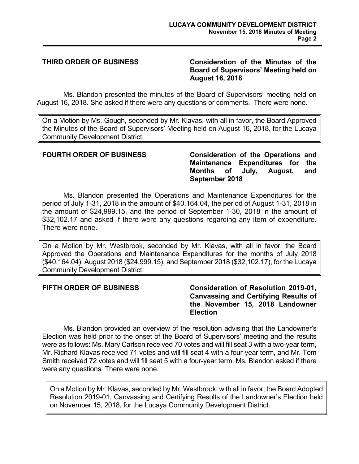# **THIRD ORDER OF BUSINESS Consideration of the Minutes of the Board of Supervisors' Meeting held on August 16, 2018**

 Ms. Blandon presented the minutes of the Board of Supervisors' meeting held on August 16, 2018. She asked if there were any questions or comments. There were none.

On a Motion by Ms. Gough, seconded by Mr. Klavas, with all in favor, the Board Approved the Minutes of the Board of Supervisors' Meeting held on August 16, 2018, for the Lucaya Community Development District.

**FOURTH ORDER OF BUSINESS Consideration of the Operations and Maintenance Expenditures for the Months of July, August, and September 2018** 

 Ms. Blandon presented the Operations and Maintenance Expenditures for the period of July 1-31, 2018 in the amount of \$40,164.04, the period of August 1-31, 2018 in the amount of \$24,999.15, and the period of September 1-30, 2018 in the amount of \$32,102.17 and asked if there were any questions regarding any item of expenditure. There were none.

On a Motion by Mr. Westbrook, seconded by Mr. Klavas, with all in favor, the Board Approved the Operations and Maintenance Expenditures for the months of July 2018 (\$40,164.04), August 2018 (\$24,999.15), and September 2018 (\$32,102.17), for the Lucaya Community Development District.

# **FIFTH ORDER OF BUSINESS Consideration of Resolution 2019-01, Canvassing and Certifying Results of the November 15, 2018 Landowner Election**

Ms. Blandon provided an overview of the resolution advising that the Landowner's Election was held prior to the onset of the Board of Supervisors' meeting and the results were as follows: Ms. Mary Carlson received 70 votes and will fill seat 3 with a two-year term, Mr. Richard Klavas received 71 votes and will fill seat 4 with a four-year term, and Mr. Tom Smith received 72 votes and will fill seat 5 with a four-year term. Ms. Blandon asked if there were any questions. There were none.

On a Motion by Mr. Klavas, seconded by Mr. Westbrook, with all in favor, the Board Adopted Resolution 2019-01, Canvassing and Certifying Results of the Landowner's Election held on November 15, 2018, for the Lucaya Community Development District.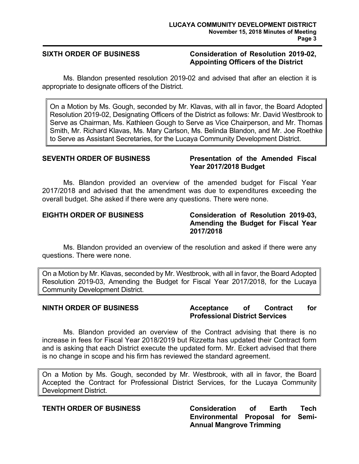### **SIXTH ORDER OF BUSINESS Consideration of Resolution 2019-02, Appointing Officers of the District**

 Ms. Blandon presented resolution 2019-02 and advised that after an election it is appropriate to designate officers of the District.

On a Motion by Ms. Gough, seconded by Mr. Klavas, with all in favor, the Board Adopted Resolution 2019-02, Designating Officers of the District as follows: Mr. David Westbrook to Serve as Chairman, Ms. Kathleen Gough to Serve as Vice Chairperson, and Mr. Thomas Smith, Mr. Richard Klavas, Ms. Mary Carlson, Ms. Belinda Blandon, and Mr. Joe Roethke to Serve as Assistant Secretaries, for the Lucaya Community Development District.

### **SEVENTH ORDER OF BUSINESS Presentation of the Amended Fiscal Year 2017/2018 Budget**

Ms. Blandon provided an overview of the amended budget for Fiscal Year 2017/2018 and advised that the amendment was due to expenditures exceeding the overall budget. She asked if there were any questions. There were none.

### **EIGHTH ORDER OF BUSINESS Consideration of Resolution 2019-03, Amending the Budget for Fiscal Year 2017/2018**

 Ms. Blandon provided an overview of the resolution and asked if there were any questions. There were none.

On a Motion by Mr. Klavas, seconded by Mr. Westbrook, with all in favor, the Board Adopted Resolution 2019-03, Amending the Budget for Fiscal Year 2017/2018, for the Lucaya Community Development District.

### **NINTH ORDER OF BUSINESS 4CCEPTANCE OF CONTRACT FOR ACCEPTANCE OF ACCEPTANCE OF ACCEPTANCE OF ACCEPTANCE OF ACCEPTANCE OF ACCEPTANCE OF ACCEPTANCE OF ACCEPTANCE OF ACCEPTANCE OF ACCEPTANCE OF ACCEPTANCE OF ACCEPTANCE OF AC Professional District Services**

Ms. Blandon provided an overview of the Contract advising that there is no increase in fees for Fiscal Year 2018/2019 but Rizzetta has updated their Contract form and is asking that each District execute the updated form. Mr. Eckert advised that there is no change in scope and his firm has reviewed the standard agreement.

On a Motion by Ms. Gough, seconded by Mr. Westbrook, with all in favor, the Board Accepted the Contract for Professional District Services, for the Lucaya Community Development District.

**TENTH ORDER OF BUSINESS Consideration of Earth Tech Environmental Proposal for Semi-Annual Mangrove Trimming**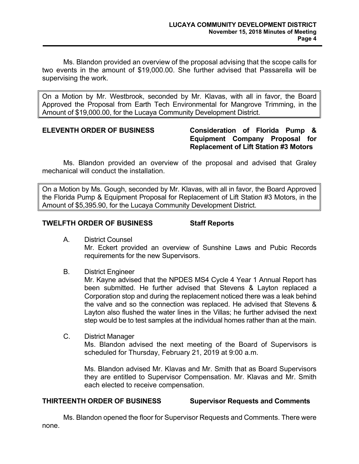Ms. Blandon provided an overview of the proposal advising that the scope calls for two events in the amount of \$19,000.00. She further advised that Passarella will be supervising the work.

On a Motion by Mr. Westbrook, seconded by Mr. Klavas, with all in favor, the Board Approved the Proposal from Earth Tech Environmental for Mangrove Trimming, in the Amount of \$19,000.00, for the Lucaya Community Development District.

# **ELEVENTH ORDER OF BUSINESS Consideration of Florida Pump & Equipment Company Proposal for Replacement of Lift Station #3 Motors**

Ms. Blandon provided an overview of the proposal and advised that Graley mechanical will conduct the installation.

On a Motion by Ms. Gough, seconded by Mr. Klavas, with all in favor, the Board Approved the Florida Pump & Equipment Proposal for Replacement of Lift Station #3 Motors, in the Amount of \$5,395.90, for the Lucaya Community Development District.

# **TWELFTH ORDER OF BUSINESS Staff Reports**

A. District Counsel

Mr. Eckert provided an overview of Sunshine Laws and Pubic Records requirements for the new Supervisors.

B. District Engineer

Mr. Kayne advised that the NPDES MS4 Cycle 4 Year 1 Annual Report has been submitted. He further advised that Stevens & Layton replaced a Corporation stop and during the replacement noticed there was a leak behind the valve and so the connection was replaced. He advised that Stevens & Layton also flushed the water lines in the Villas; he further advised the next step would be to test samples at the individual homes rather than at the main.

C. District Manager

Ms. Blandon advised the next meeting of the Board of Supervisors is scheduled for Thursday, February 21, 2019 at 9:00 a.m.

Ms. Blandon advised Mr. Klavas and Mr. Smith that as Board Supervisors they are entitled to Supervisor Compensation. Mr. Klavas and Mr. Smith each elected to receive compensation.

**THIRTEENTH ORDER OF BUSINESS Supervisor Requests and Comments** 

Ms. Blandon opened the floor for Supervisor Requests and Comments. There were none.